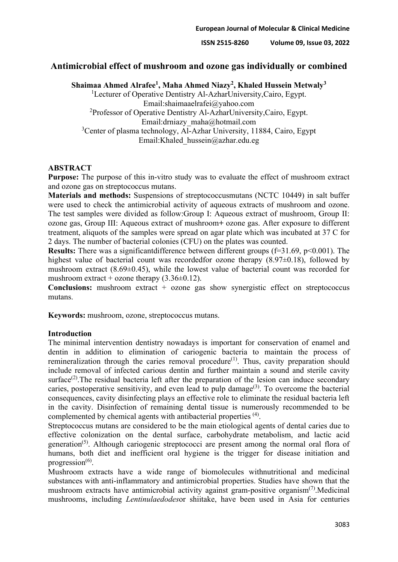**ISSN 2515-8260 Volume 09, Issue 03, 2022**

# **Antimicrobial effect of mushroom and ozone gas individually or combined**

**Shaimaa Ahmed Alrafee1, Maha Ahmed Niazy2, Khaled Hussein Metwaly3**

<sup>1</sup>Lecturer of Operative Dentistry Al-AzharUniversity,Cairo, Egypt. Email:shaimaaelrafei@yahoo.com <sup>2</sup>Professor of Operative Dentistry Al-AzharUniversity,Cairo, Egypt. Email:drniazy\_maha@hotmail.com <sup>3</sup>Center of plasma technology, Al-Azhar University, 11884, Cairo, Egypt Email:Khaled\_hussein@azhar.edu.eg

#### **ABSTRACT**

**Purpose:** The purpose of this in-vitro study was to evaluate the effect of mushroom extract and ozone gas on streptococcus mutans.

**Materials and methods:** Suspensions of streptococcusmutans (NCTC 10449) in salt buffer were used to check the antimicrobial activity of aqueous extracts of mushroom and ozone. The test samples were divided as follow:Group I: Aqueous extract of mushroom, Group II: ozone gas, Group III: Aqueous extract of mushroom**+** ozone gas. After exposure to different treatment, aliquots of the samples were spread on agar plate which was incubated at 37 C for 2 days. The number of bacterial colonies (CFU) on the plates was counted.

**Results:** There was a significantdifference between different groups (f=31.69, p<0.001). The highest value of bacterial count was recordedfor ozone therapy  $(8.97\pm0.18)$ , followed by mushroom extract (8.69±0.45), while the lowest value of bacterial count was recorded for mushroom extract + ozone therapy  $(3.36\pm0.12)$ .

**Conclusions:** mushroom extract + ozone gas show synergistic effect on streptococcus mutans.

**Keywords:** mushroom, ozone, streptococcus mutans.

#### **Introduction**

The minimal intervention dentistry nowadays is important for conservation of enamel and dentin in addition to elimination of cariogenic bacteria to maintain the process of remineralization through the caries removal procedure<sup> $(1)$ </sup>. Thus, cavity preparation should include removal of infected carious dentin and further maintain a sound and sterile cavity surface<sup>(2)</sup>. The residual bacteria left after the preparation of the lesion can induce secondary caries, postoperative sensitivity, and even lead to pulp damage<sup> $(3)$ </sup>. To overcome the bacterial consequences, cavity disinfecting plays an effective role to eliminate the residual bacteria left in the cavity. Disinfection of remaining dental tissue is numerously recommended to be complemented by chemical agents with antibacterial properties (4).

Streptococcus mutans are considered to be the main etiological agents of dental caries due to effective colonization on the dental surface, carbohydrate metabolism, and lactic acid generation<sup>(5)</sup>. Although cariogenic streptococci are present among the normal oral flora of humans, both diet and inefficient oral hygiene is the trigger for disease initiation and progression $^{(6)}$ .

Mushroom extracts have a wide range of biomolecules withnutritional and medicinal substances with anti-inflammatory and antimicrobial properties. Studies have shown that the mushroom extracts have antimicrobial activity against gram-positive organism<sup> $(7)$ </sup>. Medicinal mushrooms, including *Lentinulaedodes*or shiitake, have been used in Asia for centuries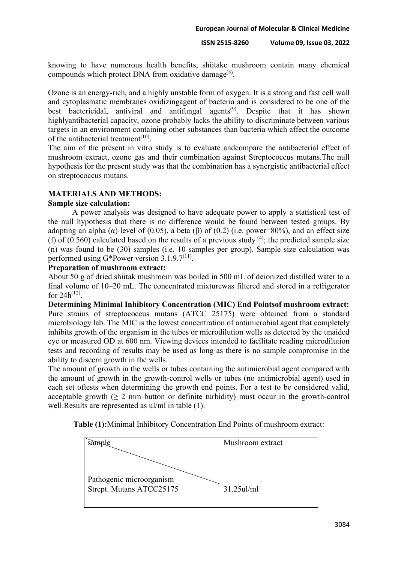knowing to have numerous health benefits, shiitake mushroom contain many chemical compounds which protect DNA from oxidative damage<sup>(8)</sup>.

Ozone is an energy-rich, and a highly unstable form of oxygen. It is a strong and fast cell wall and cytoplasmatic membranes oxidizingagent of bacteria and is considered to be one of the best bactericidal, antiviral and antifungal agents<sup>(9)</sup>. Despite that it has shown highlyantibacterial capacity, ozone probably lacks the ability to discriminate between various targets in an environment containing other substances than bacteria which affect the outcome of the antibacterial treatment $(10)$ .

The aim of the present in vitro study is to evaluate andcompare the antibacterial effect of mushroom extract, ozone gas and their combination against Streptococcus mutans.The null hypothesis for the present study was that the combination has a synergistic antibacterial effect on streptococcus mutans.

# **MATERIALS AND METHODS:**

#### **Sample size calculation:**

A power analysis was designed to have adequate power to apply a statistical test of the null hypothesis that there is no difference would be found between tested groups. By adopting an alpha ( $\alpha$ ) level of (0.05), a beta ( $\beta$ ) of (0.2) (i.e. power=80%), and an effect size (f) of (0.560) calculated based on the results of a previous study  $(4)$ ; the predicted sample size (n) was found to be (30) samples (i.e. 10 samples per group). Sample size calculation was performed using G\*Power version  $3.1.9.7^{(11)}$ .

# **Preparation of mushroom extract:**

About 50 g of dried shiitak mushroom was boiled in 500 mL of deionized distilled water to a final volume of 10–20 mL. The concentrated mixturewas filtered and stored in a refrigerator for  $24h^{(12)}$ .

**Determining Minimal Inhibitory Concentration (MIC) End Pointsof mushroom extract:** Pure strains of streptococcus mutans (ATCC 25175) were obtained from a standard microbiology lab. The MIC is the lowest concentration of antimicrobial agent that completely inhibits growth of the organism in the tubes or microdilution wells as detected by the unaided eye or measured OD at 600 nm. Viewing devices intended to facilitate reading microdilution tests and recording of results may be used as long as there is no sample compromise in the ability to discern growth in the wells.

The amount of growth in the wells or tubes containing the antimicrobial agent compared with the amount of growth in the growth-control wells or tubes (no antimicrobial agent) used in each set oftests when determining the growth end points. For a test to be considered valid, acceptable growth  $(\geq 2 \text{ mm}$  button or definite turbidity) must occur in the growth-control well.Results are represented as ul/ml in table (1).

**Table (1):**Minimal Inhibitory Concentration End Points of mushroom extract:

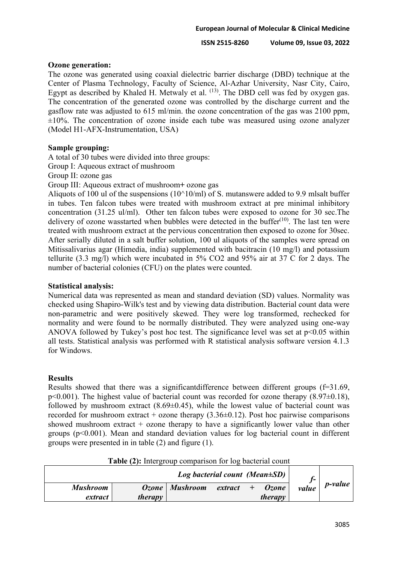#### **Ozone generation:**

The ozone was generated using coaxial dielectric barrier discharge (DBD) technique at the Center of Plasma Technology, Faculty of Science, Al-Azhar University, Nasr City, Cairo, Egypt as described by Khaled H. Metwaly et al. <sup>(13)</sup>. The DBD cell was fed by oxygen gas. The concentration of the generated ozone was controlled by the discharge current and the gasflow rate was adjusted to 615 ml/min. the ozone concentration of the gas was 2100 ppm,  $\pm 10\%$ . The concentration of ozone inside each tube was measured using ozone analyzer (Model H1-AFX-Instrumentation, USA)

## **Sample grouping:**

A total of 30 tubes were divided into three groups:

Group I: Aqueous extract of mushroom

Group II: ozone gas

Group III: Aqueous extract of mushroom**+** ozone gas

Aliquots of 100 ul of the suspensions  $(10^{\wedge}10/ml)$  of S. mutanswere added to 9.9 mlsalt buffer in tubes. Ten falcon tubes were treated with mushroom extract at pre minimal inhibitory concentration (31.25 ul/ml). Other ten falcon tubes were exposed to ozone for 30 sec.The delivery of ozone wasstarted when bubbles were detected in the buffer $(10)$ . The last ten were treated with mushroom extract at the pervious concentration then exposed to ozone for 30sec. After serially diluted in a salt buffer solution, 100 ul aliquots of the samples were spread on Mitissalivarius agar (Himedia, india) supplemented with bacitracin (10 mg/l) and potassium tellurite (3.3 mg/l) which were incubated in 5% CO2 and 95% air at 37 C for 2 days. The number of bacterial colonies (CFU) on the plates were counted.

#### **Statistical analysis:**

Numerical data was represented as mean and standard deviation (SD) values. Normality was checked using Shapiro-Wilk's test and by viewing data distribution. Bacterial count data were non-parametric and were positively skewed. They were log transformed, rechecked for normality and were found to be normally distributed. They were analyzed using one-way ANOVA followed by Tukey's post hoc test. The significance level was set at  $p<0.05$  within all tests. Statistical analysis was performed with R statistical analysis software version 4.1.3 for Windows.

## **Results**

Results showed that there was a significant difference between different groups (f=31.69,  $p<0.001$ ). The highest value of bacterial count was recorded for ozone therapy (8.97 $\pm$ 0.18), followed by mushroom extract  $(8.69\pm0.45)$ , while the lowest value of bacterial count was recorded for mushroom extract + ozone therapy  $(3.36\pm0.12)$ . Post hoc pairwise comparisons showed mushroom extract + ozone therapy to have a significantly lower value than other groups (p<0.001). Mean and standard deviation values for log bacterial count in different groups were presented in in table (2) and figure (1).

| Log bacterial count (Mean $\pm SD$ ) |                |                  |         |  |                         |       |                 |
|--------------------------------------|----------------|------------------|---------|--|-------------------------|-------|-----------------|
| <b>Mushroom</b><br>extract           | <i>therapy</i> | Ozone   Mushroom | extract |  | Ozone<br><i>therapy</i> | value | <i>p</i> -value |

**Table (2):** Intergroup comparison for log bacterial count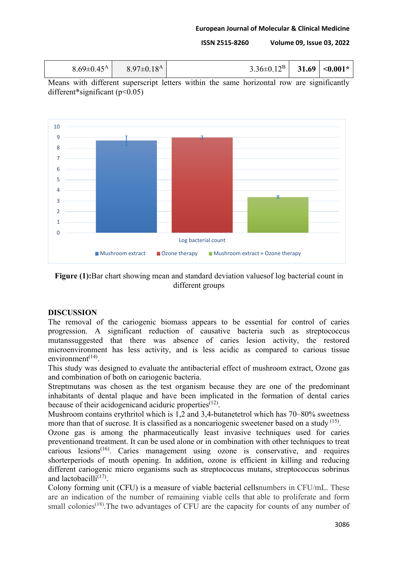**ISSN 2515-8260 Volume 09, Issue 03, 2022**

| $8.69 \pm 0.45^{\rm A}$ | 8.97 $\pm$ 0.18 <sup>A</sup> | $3.36\pm0.12^{\rm B}$ 31.69 < 0.001* |  |  |
|-------------------------|------------------------------|--------------------------------------|--|--|
|-------------------------|------------------------------|--------------------------------------|--|--|

Means with different superscript letters within the same horizontal row are significantly different\*significant ( $p$ <0.05)



**Figure (1):**Bar chart showing mean and standard deviation valuesof log bacterial count in different groups

# **DISCUSSION**

The removal of the cariogenic biomass appears to be essential for control of caries progression. A significant reduction of causative bacteria such as streptococcus mutanssuggested that there was absence of caries lesion activity, the restored microenvironment has less activity, and is less acidic as compared to carious tissue environment<sup> $(14)$ </sup>.

This study was designed to evaluate the antibacterial effect of mushroom extract, Ozone gas and combination of both on cariogenic bacteria.

Streptmutans was chosen as the test organism because they are one of the predominant inhabitants of dental plaque and have been implicated in the formation of dental caries because of their acidogenicand aciduric properties<sup> $(12)$ </sup>.

Mushroom contains erythritol which is 1,2 and 3,4-butanetetrol which has 70–80% sweetness more than that of sucrose. It is classified as a noncariogenic sweetener based on a study  $(15)$ .

Ozone gas is among the pharmaceutically least invasive techniques used for caries preventionand treatment. It can be used alone or in combination with other techniques to treat carious lesions<sup> $(16)$ </sup>. Caries management using ozone is conservative, and requires shorterperiods of mouth opening. In addition, ozone is efficient in killing and reducing different cariogenic micro organisms such as streptococcus mutans, streptococcus sobrinus and lactobacilli $^{(17)}$ .

Colony forming unit (CFU) is a measure of viable bacterial cellsnumbers in CFU/mL. These are an indication of the number of remaining viable cells that able to proliferate and form small colonies<sup> $(18)$ </sup>. The two advantages of CFU are the capacity for counts of any number of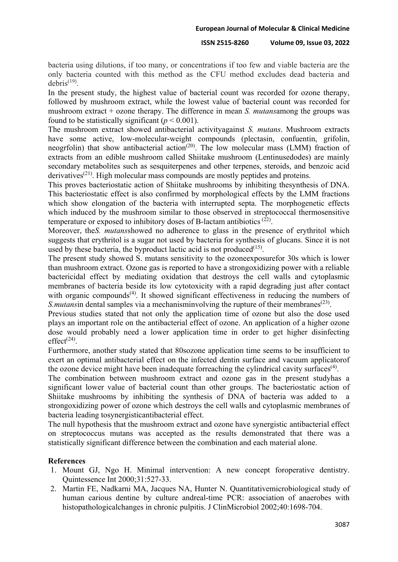bacteria using dilutions, if too many, or concentrations if too few and viable bacteria are the only bacteria counted with this method as the CFU method excludes dead bacteria and  $debris<sup>(19)</sup>$ .

In the present study, the highest value of bacterial count was recorded for ozone therapy, followed by mushroom extract, while the lowest value of bacterial count was recorded for mushroom extract + ozone therapy. The difference in mean *S. mutans*among the groups was found to be statistically significant  $(p < 0.001)$ .

The mushroom extract showed antibacterial activityagainst *S. mutans*. Mushroom extracts have some active, low-molecular-weight compounds (plectasin, confuentin, grifolin, neogrfolin) that show antibacterial action<sup>(20)</sup>. The low molecular mass (LMM) fraction of extracts from an edible mushroom called Shiitake mushroom (Lentinusedodes) are mainly secondary metabolites such as sesquiterpenes and other terpenes, steroids, and benzoic acid derivatives<sup> $(21)$ </sup>. High molecular mass compounds are mostly peptides and proteins.

This proves bacteriostatic action of Shiitake mushrooms by inhibiting thesynthesis of DNA. This bacteriostatic effect is also confirmed by morphological effects by the LMM fractions which show elongation of the bacteria with interrupted septa. The morphogenetic effects which induced by the mushroom similar to those observed in streptococcal thermosensitive temperature or exposed to inhibitory doses of B-lactam antibiotics<sup> $(22)$ </sup>.

Moreover, the*S. mutans*showed no adherence to glass in the presence of erythritol which suggests that erythritol is a sugar not used by bacteria for synthesis of glucans. Since it is not used by these bacteria, the byproduct lactic acid is not produced $(15)$ .

The present study showed S. mutans sensitivity to the ozoneexposurefor 30s which is lower than mushroom extract. Ozone gas is reported to have a strongoxidizing power with a reliable bactericidal effect by mediating oxidation that destroys the cell walls and cytoplasmic membranes of bacteria beside its low cytotoxicity with a rapid degrading just after contact with organic compounds<sup> $(4)$ </sup>. It showed significant effectiveness in reducing the numbers of *S.mutansin dental samples via a mechanisminvolving the rupture of their membranes*<sup>(23)</sup>.

Previous studies stated that not only the application time of ozone but also the dose used plays an important role on the antibacterial effect of ozone. An application of a higher ozone dose would probably need a lower application time in order to get higher disinfecting  $effect^{(24)}$ .

Furthermore, another study stated that 80sozone application time seems to be insufficient to exert an optimal antibacterial effect on the infected dentin surface and vacuum applicatorof the ozone device might have been inadequate forreaching the cylindrical cavity surfaces<sup> $(4)$ </sup>.

The combination between mushroom extract and ozone gas in the present studyhas a significant lower value of bacterial count than other groups. The bacteriostatic action of Shiitake mushrooms by inhibiting the synthesis of DNA of bacteria was added to a strongoxidizing power of ozone which destroys the cell walls and cytoplasmic membranes of bacteria leading tosynergisticantibacterial effect.

The null hypothesis that the mushroom extract and ozone have synergistic antibacterial effect on streptococcus mutans was accepted as the results demonstrated that there was a statistically significant difference between the combination and each material alone.

## **References**

- 1. Mount GJ, Ngo H. Minimal intervention: A new concept foroperative dentistry. Quintessence Int 2000;31:527-33.
- 2. Martin FE, Nadkarni MA, Jacques NA, Hunter N. Quantitativemicrobiological study of human carious dentine by culture andreal-time PCR: association of anaerobes with histopathologicalchanges in chronic pulpitis. J ClinMicrobiol 2002;40:1698-704.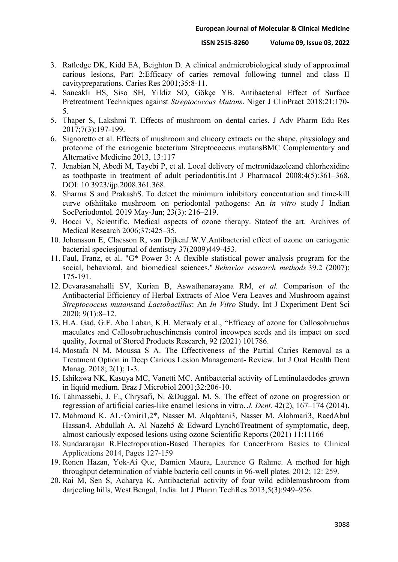- 3. Ratledge DK, Kidd EA, Beighton D. A clinical andmicrobiological study of approximal carious lesions, Part 2:Efficacy of caries removal following tunnel and class II cavitypreparations. Caries Res 2001;35:8-11.
- 4. Sancakli HS, Siso SH, Yildiz SO, Gökçe YB. Antibacterial Effect of Surface Pretreatment Techniques against *Streptococcus Mutans*. Niger J ClinPract 2018;21:170- 5.
- 5. Thaper S, Lakshmi T. Effects of mushroom on dental caries. J Adv Pharm Edu Res 2017;7(3):197-199.
- 6. Signoretto et al. Effects of mushroom and chicory extracts on the shape, physiology and proteome of the cariogenic bacterium Streptococcus mutansBMC Complementary and Alternative Medicine 2013, 13:117
- 7. Jenabian N, Abedi M, Tayebi P, et al. Local delivery of metronidazoleand chlorhexidine as toothpaste in treatment of adult periodontitis.Int J Pharmacol 2008;4(5):361–368. DOI: 10.3923/ijp.2008.361.368.
- 8. Sharma S and Prakash S. To detect the minimum inhibitory concentration and time-kill curve ofshiitake mushroom on periodontal pathogens: An *in vitro* study J Indian SocPeriodontol. 2019 May-Jun; 23(3): 216–219.
- 9. Bocci V, Scientific. Medical aspects of ozone therapy. Stateof the art. Archives of Medical Research 2006;37:425-35.
- 10. Johansson E, Claesson R, van DijkenJ.W.V.Antibacterial effect of ozone on cariogenic bacterial speciesjournal of dentistry 37(2009)449-453.
- 11. Faul, Franz, et al. "G\* Power 3: A flexible statistical power analysis program for the social, behavioral, and biomedical sciences." *Behavior research methods* 39.2 (2007): 175-191.
- 12. Devarasanahalli SV, Kurian B, Aswathanarayana RM, *et al.* Comparison of the Antibacterial Efficiency of Herbal Extracts of Aloe Vera Leaves and Mushroom against *Streptococcus mutans*and *Lactobacillus*: An *In Vitro* Study. Int J Experiment Dent Sci 2020; 9(1):8–12.
- 13. H.A. Gad, G.F. Abo Laban, K.H. Metwaly et al., "Efficacy of ozone for Callosobruchus maculates and Callosobruchuschinensis control incowpea seeds and its impact on seed quality, Journal of Stored Products Research, 92 (2021) 101786.
- 14. Mostafa N M, Moussa S A. The Effectiveness of the Partial Caries Removal as a Treatment Option in Deep Carious Lesion Management- Review. Int J Oral Health Dent Manag. 2018; 2(1); 1-3.
- 15. Ishikawa NK, Kasuya MC, Vanetti MC. Antibacterial activity of Lentinulaedodes grown in liquid medium. Braz J Microbiol 2001;32:206-10.
- 16. Tahmassebi, J. F., Chrysafi, N. &Duggal, M. S. The effect of ozone on progression or regression of artificial caries-like enamel lesions in vitro. *J. Dent.* 42(2), 167–174 (2014).
- 17. Mahmoud K. AL‑Omiri1,2\*, Nasser M. Alqahtani3, Nasser M. Alahmari3, RaedAbul Hassan4, Abdullah A. Al Nazeh5 & Edward Lynch6Treatment of symptomatic, deep, almost cariously exposed lesions using ozone Scientific Reports (2021) 11:11166
- 18. [Sundararajan](https://www.sciencedirect.com/science/article/pii/B9781907568152500066#!) R[.Electroporation-Based Therapies for CancerF](https://www.sciencedirect.com/science/book/9781907568152)rom Basics to Clinical Applications 2014, Pages 127-159
- 19. Ronen Hazan, Yok-Ai Que, Damien Maura, Laurence G Rahme. A method for high throughput determination of viable bacteria cell counts in 96-well plates. 2012; 12: 259.
- 20. Rai M, Sen S, Acharya K. Antibacterial activity of four wild ediblemushroom from darjeeling hills, West Bengal, India. Int J Pharm TechRes 2013;5(3):949–956.